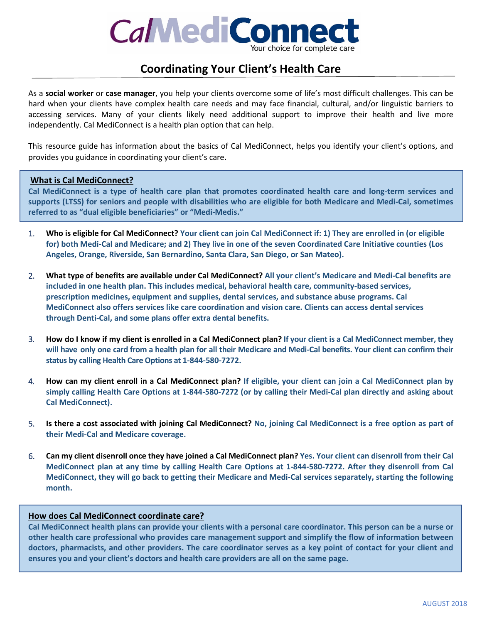

# **Coordinating Your Client's Health Care**

As a **social worker** or **case manager**, you help your clients overcome some of life's most difficult challenges. This can be hard when your clients have complex health care needs and may face financial, cultural, and/or linguistic barriers to accessing services. Many of your clients likely need additional support to improve their health and live more independently. Cal MediConnect is a health plan option that can help.

This resource guide has information about the basics of Cal MediConnect, helps you identify your client's options, and provides you guidance in coordinating your client's care.

# **What is Cal MediConnect?**

**Cal MediConnect is a type of health care plan that promotes coordinated health care and long-term services and supports (LTSS) for seniors and people with disabilities who are eligible for both Medicare and Medi-Cal, sometimes referred to as "dual eligible beneficiaries" or "Medi-Medis."**

- 1. **Who is eligible for Cal MediConnect? Your client can join Cal MediConnect if: 1) They are enrolled in (or eligible for) both Medi-Cal and Medicare; and 2) They live in one of the seven Coordinated Care Initiative counties (Los Angeles, Orange, Riverside, San Bernardino, Santa Clara, San Diego, or San Mateo).**
- 2. **What type of benefits are available under Cal MediConnect? All your client's Medicare and Medi-Cal benefits are included in one health plan. This includes medical, behavioral health care, community-based services, prescription medicines, equipment and supplies, dental services, and substance abuse programs. Cal MediConnect also offers services like care coordination and vision care. Clients can access dental services through Denti-Cal, and some plans offer extra dental benefits.**
- 3. **How do I know if my client is enrolled in a Cal MediConnect plan? If your client is a Cal MediConnect member, they will have only one card from a health plan for all their Medicare and Medi-Cal benefits. Your client can confirm their status by calling Health Care Options at 1-844-580-7272.**
- 4. **How can my client enroll in a Cal MediConnect plan? If eligible, your client can join a Cal MediConnect plan by simply calling Health Care Options at 1-844-580-7272 (or by calling their Medi-Cal plan directly and asking about Cal MediConnect).**
- 5. **Is there a cost associated with joining Cal MediConnect? No, joining Cal MediConnect is a free option as part of their Medi-Cal and Medicare coverage.**
- 6. **Can my client disenroll once they have joined a Cal MediConnect plan? Yes. Your client can disenroll from their Cal MediConnect plan at any time by calling Health Care Options at 1-844-580-7272. After they disenroll from Cal MediConnect, they will go back to getting their Medicare and Medi-Cal services separately, starting the following month.**

# **How does Cal MediConnect coordinate care?**

**Cal MediConnect health plans can provide your clients with a personal care coordinator. This person can be a nurse or other health care professional who provides care management support and simplify the flow of information between doctors, pharmacists, and other providers. The care coordinator serves as a key point of contact for your client and ensures you and your client's doctors and health care providers are all on the same page.**